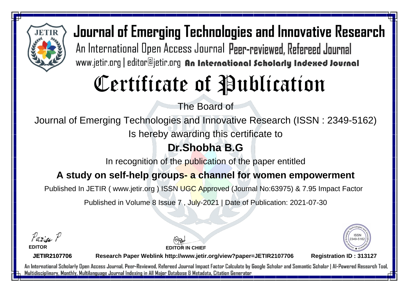

# Certificate of Publication

The Board of

Journal of Emerging Technologies and Innovative Research (ISSN : 2349-5162)

Is hereby awarding this certificate to

### **Dr.Shobha B.G**

In recognition of the publication of the paper entitled

#### **A study on self-help groups- a channel for women empowerment**

Published In JETIR ( www.jetir.org ) ISSN UGC Approved (Journal No: 63975) & 7.95 Impact Factor

Published in Volume 8 Issue 7 , July-2021 | Date of Publication: 2021-07-30

Parin P

**EDITOR**

**EDITOR IN CHIEF**



**JETIR2107706**

**Research Paper Weblink http://www.jetir.org/view?paper=JETIR2107706 Registration ID : 313127**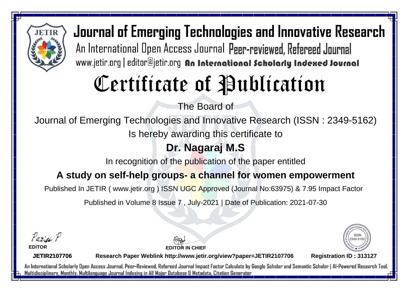

# Certificate of Publication

The Board of

Journal of Emerging Technologies and Innovative Research (ISSN : 2349-5162)

Is hereby awarding this certificate to

### **Dr. Nagaraj M.S**

In recognition of the publication of the paper entitled

#### **A study on self-help groups- a channel for women empowerment**

Published In JETIR ( www.jetir.org ) ISSN UGC Approved (Journal No: 63975) & 7.95 Impact Factor

Published in Volume 8 Issue 7 , July-2021 | Date of Publication: 2021-07-30

Parin P

**EDITOR**

**EDITOR IN CHIEF**



**JETIR2107706**

**Research Paper Weblink http://www.jetir.org/view?paper=JETIR2107706 Registration ID : 313127**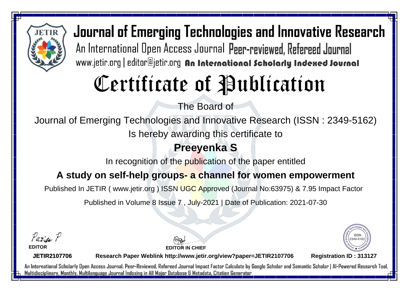

# Certificate of Publication

The Board of

Journal of Emerging Technologies and Innovative Research (ISSN : 2349-5162)

Is hereby awarding this certificate to

### **Preeyenka S**

In recognition of the publication of the paper entitled

#### **A study on self-help groups- a channel for women empowerment**

Published In JETIR ( www.jetir.org ) ISSN UGC Approved (Journal No: 63975) & 7.95 Impact Factor

Published in Volume 8 Issue 7 , July-2021 | Date of Publication: 2021-07-30

Parin P

**EDITOR**

**EDITOR IN CHIEF**



**JETIR2107706**

**Research Paper Weblink http://www.jetir.org/view?paper=JETIR2107706 Registration ID : 313127**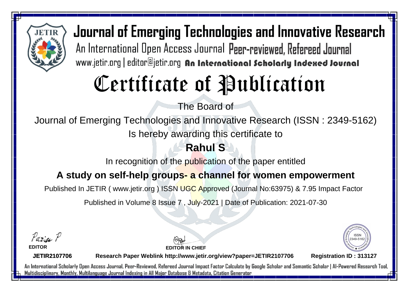

# Certificate of Publication

The Board of

Journal of Emerging Technologies and Innovative Research (ISSN : 2349-5162)

Is hereby awarding this certificate to

### **Rahul S**

In recognition of the publication of the paper entitled

#### **A study on self-help groups- a channel for women empowerment**

Published In JETIR ( www.jetir.org ) ISSN UGC Approved (Journal No: 63975) & 7.95 Impact Factor

Published in Volume 8 Issue 7 , July-2021 | Date of Publication: 2021-07-30

Parin P

**EDITOR**

**EDITOR IN CHIEF**



**JETIR2107706**

**Research Paper Weblink http://www.jetir.org/view?paper=JETIR2107706 Registration ID : 313127**